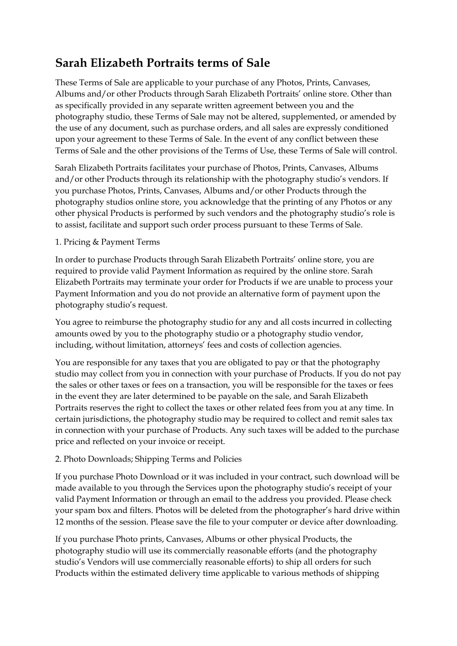# **Sarah Elizabeth Portraits terms of Sale**

These Terms of Sale are applicable to your purchase of any Photos, Prints, Canvases, Albums and/or other Products through Sarah Elizabeth Portraits' online store. Other than as specifically provided in any separate written agreement between you and the photography studio, these Terms of Sale may not be altered, supplemented, or amended by the use of any document, such as purchase orders, and all sales are expressly conditioned upon your agreement to these Terms of Sale. In the event of any conflict between these Terms of Sale and the other provisions of the Terms of Use, these Terms of Sale will control.

Sarah Elizabeth Portraits facilitates your purchase of Photos, Prints, Canvases, Albums and/or other Products through its relationship with the photography studio's vendors. If you purchase Photos, Prints, Canvases, Albums and/or other Products through the photography studios online store, you acknowledge that the printing of any Photos or any other physical Products is performed by such vendors and the photography studio's role is to assist, facilitate and support such order process pursuant to these Terms of Sale.

## 1. Pricing & Payment Terms

In order to purchase Products through Sarah Elizabeth Portraits' online store, you are required to provide valid Payment Information as required by the online store. Sarah Elizabeth Portraits may terminate your order for Products if we are unable to process your Payment Information and you do not provide an alternative form of payment upon the photography studio's request.

You agree to reimburse the photography studio for any and all costs incurred in collecting amounts owed by you to the photography studio or a photography studio vendor, including, without limitation, attorneys' fees and costs of collection agencies.

You are responsible for any taxes that you are obligated to pay or that the photography studio may collect from you in connection with your purchase of Products. If you do not pay the sales or other taxes or fees on a transaction, you will be responsible for the taxes or fees in the event they are later determined to be payable on the sale, and Sarah Elizabeth Portraits reserves the right to collect the taxes or other related fees from you at any time. In certain jurisdictions, the photography studio may be required to collect and remit sales tax in connection with your purchase of Products. Any such taxes will be added to the purchase price and reflected on your invoice or receipt.

## 2. Photo Downloads; Shipping Terms and Policies

If you purchase Photo Download or it was included in your contract, such download will be made available to you through the Services upon the photography studio's receipt of your valid Payment Information or through an email to the address you provided. Please check your spam box and filters. Photos will be deleted from the photographer's hard drive within 12 months of the session. Please save the file to your computer or device after downloading.

If you purchase Photo prints, Canvases, Albums or other physical Products, the photography studio will use its commercially reasonable efforts (and the photography studio's Vendors will use commercially reasonable efforts) to ship all orders for such Products within the estimated delivery time applicable to various methods of shipping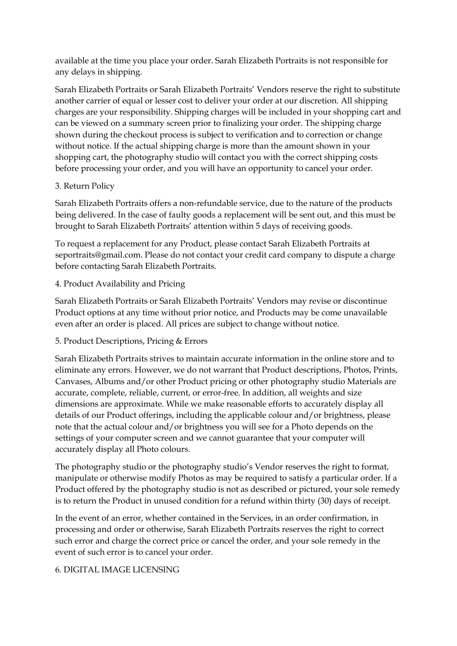available at the time you place your order. Sarah Elizabeth Portraits is not responsible for any delays in shipping.

Sarah Elizabeth Portraits or Sarah Elizabeth Portraits' Vendors reserve the right to substitute another carrier of equal or lesser cost to deliver your order at our discretion. All shipping charges are your responsibility. Shipping charges will be included in your shopping cart and can be viewed on a summary screen prior to finalizing your order. The shipping charge shown during the checkout process is subject to verification and to correction or change without notice. If the actual shipping charge is more than the amount shown in your shopping cart, the photography studio will contact you with the correct shipping costs before processing your order, and you will have an opportunity to cancel your order.

## 3. Return Policy

Sarah Elizabeth Portraits offers a non-refundable service, due to the nature of the products being delivered. In the case of faulty goods a replacement will be sent out, and this must be brought to Sarah Elizabeth Portraits' attention within 5 days of receiving goods.

To request a replacement for any Product, please contact Sarah Elizabeth Portraits at seportraits@gmail.com. Please do not contact your credit card company to dispute a charge before contacting Sarah Elizabeth Portraits.

## 4. Product Availability and Pricing

Sarah Elizabeth Portraits or Sarah Elizabeth Portraits' Vendors may revise or discontinue Product options at any time without prior notice, and Products may be come unavailable even after an order is placed. All prices are subject to change without notice.

## 5. Product Descriptions, Pricing & Errors

Sarah Elizabeth Portraits strives to maintain accurate information in the online store and to eliminate any errors. However, we do not warrant that Product descriptions, Photos, Prints, Canvases, Albums and/or other Product pricing or other photography studio Materials are accurate, complete, reliable, current, or error-free. In addition, all weights and size dimensions are approximate. While we make reasonable efforts to accurately display all details of our Product offerings, including the applicable colour and/or brightness, please note that the actual colour and/or brightness you will see for a Photo depends on the settings of your computer screen and we cannot guarantee that your computer will accurately display all Photo colours.

The photography studio or the photography studio's Vendor reserves the right to format, manipulate or otherwise modify Photos as may be required to satisfy a particular order. If a Product offered by the photography studio is not as described or pictured, your sole remedy is to return the Product in unused condition for a refund within thirty (30) days of receipt.

In the event of an error, whether contained in the Services, in an order confirmation, in processing and order or otherwise, Sarah Elizabeth Portraits reserves the right to correct such error and charge the correct price or cancel the order, and your sole remedy in the event of such error is to cancel your order.

#### 6. DIGITAL IMAGE LICENSING